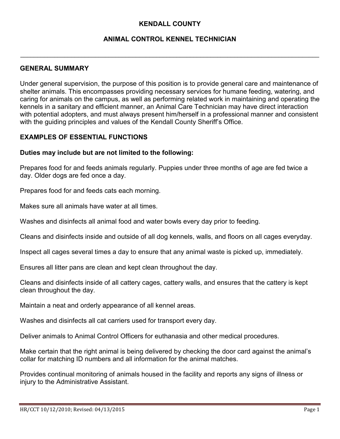# **KENDALL COUNTY**

### **ANIMAL CONTROL KENNEL TECHNICIAN**

 $\_$  . The contribution of the contribution of the contribution of the contribution of the contribution of the contribution of the contribution of the contribution of the contribution of the contribution of the contributio

#### **GENERAL SUMMARY**

Under general supervision, the purpose of this position is to provide general care and maintenance of shelter animals. This encompasses providing necessary services for humane feeding, watering, and caring for animals on the campus, as well as performing related work in maintaining and operating the kennels in a sanitary and efficient manner, an Animal Care Technician may have direct interaction with potential adopters, and must always present him/herself in a professional manner and consistent with the guiding principles and values of the Kendall County Sheriff's Office.

#### **EXAMPLES OF ESSENTIAL FUNCTIONS**

#### **Duties may include but are not limited to the following:**

Prepares food for and feeds animals regularly. Puppies under three months of age are fed twice a day. Older dogs are fed once a day.

Prepares food for and feeds cats each morning.

Makes sure all animals have water at all times.

Washes and disinfects all animal food and water bowls every day prior to feeding.

Cleans and disinfects inside and outside of all dog kennels, walls, and floors on all cages everyday.

Inspect all cages several times a day to ensure that any animal waste is picked up, immediately.

Ensures all litter pans are clean and kept clean throughout the day.

Cleans and disinfects inside of all cattery cages, cattery walls, and ensures that the cattery is kept clean throughout the day.

Maintain a neat and orderly appearance of all kennel areas.

Washes and disinfects all cat carriers used for transport every day.

Deliver animals to Animal Control Officers for euthanasia and other medical procedures.

Make certain that the right animal is being delivered by checking the door card against the animal's collar for matching ID numbers and all information for the animal matches.

Provides continual monitoring of animals housed in the facility and reports any signs of illness or injury to the Administrative Assistant.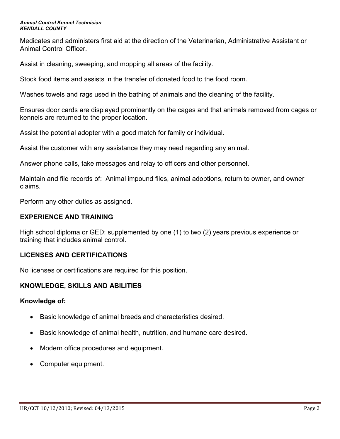#### *Animal Control Kennel Technician KENDALL COUNTY*

Medicates and administers first aid at the direction of the Veterinarian, Administrative Assistant or Animal Control Officer.

Assist in cleaning, sweeping, and mopping all areas of the facility.

Stock food items and assists in the transfer of donated food to the food room.

Washes towels and rags used in the bathing of animals and the cleaning of the facility.

Ensures door cards are displayed prominently on the cages and that animals removed from cages or kennels are returned to the proper location.

Assist the potential adopter with a good match for family or individual.

Assist the customer with any assistance they may need regarding any animal.

Answer phone calls, take messages and relay to officers and other personnel.

Maintain and file records of: Animal impound files, animal adoptions, return to owner, and owner claims.

Perform any other duties as assigned.

# **EXPERIENCE AND TRAINING**

High school diploma or GED; supplemented by one (1) to two (2) years previous experience or training that includes animal control.

# **LICENSES AND CERTIFICATIONS**

No licenses or certifications are required for this position.

# **KNOWLEDGE, SKILLS AND ABILITIES**

#### **Knowledge of:**

- Basic knowledge of animal breeds and characteristics desired.
- Basic knowledge of animal health, nutrition, and humane care desired.
- Modern office procedures and equipment.
- Computer equipment.